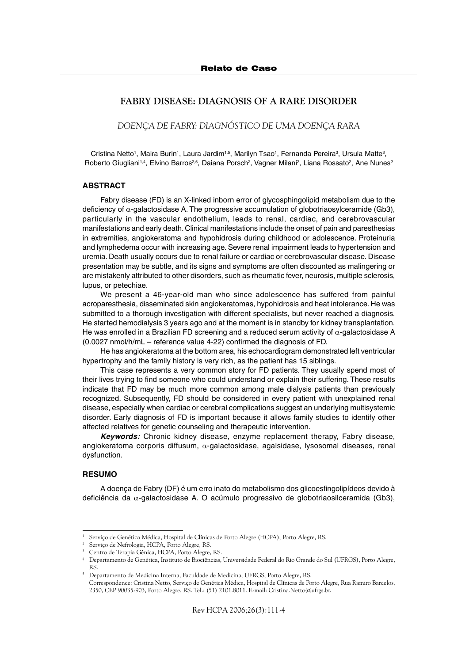# FABRY DISEASE: DIAGNOSIS OF A RARE DISORDER

DOENÇA DE FABRY: DIAGNÓSTICO DE UMA DOENÇA RARA

Cristina Netto<sup>1</sup>, Maira Burin<sup>1</sup>, Laura Jardim<sup>1,5</sup>, Marilyn Tsao<sup>1</sup>, Fernanda Pereira<sup>3</sup>, Ursula Matte<sup>3</sup>, Roberto Giugliani<sup>1,4</sup>, Elvino Barros<sup>2,5</sup>, Daiana Porsch<sup>2</sup>, Vagner Milani<sup>2</sup>, Liana Rossato<sup>2</sup>, Ane Nunes<sup>2</sup>

## **ABSTRACT**

Fabry disease (FD) is an X-linked inborn error of glycosphingolipid metabolism due to the deficiency of α-galactosidase A. The progressive accumulation of globotriaosylceramide (Gb3), particularly in the vascular endothelium, leads to renal, cardiac, and cerebrovascular manifestations and early death. Clinical manifestations include the onset of pain and paresthesias in extremities, angiokeratoma and hypohidrosis during childhood or adolescence. Proteinuria and lymphedema occur with increasing age. Severe renal impairment leads to hypertension and uremia. Death usually occurs due to renal failure or cardiac or cerebrovascular disease. Disease presentation may be subtle, and its signs and symptoms are often discounted as malingering or are mistakenly attributed to other disorders, such as rheumatic fever, neurosis, multiple sclerosis, lupus, or petechiae.

We present a 46-year-old man who since adolescence has suffered from painful acroparesthesia, disseminated skin angiokeratomas, hypohidrosis and heat intolerance. He was submitted to a thorough investigation with different specialists, but never reached a diagnosis. He started hemodialysis 3 years ago and at the moment is in standby for kidney transplantation. He was enrolled in a Brazilian FD screening and a reduced serum activity of  $\alpha$ -galactosidase A (0.0027 nmol/h/mL – reference value 4-22) confirmed the diagnosis of FD.

He has angiokeratoma at the bottom area, his echocardiogram demonstrated left ventricular hypertrophy and the family history is very rich, as the patient has 15 siblings.

This case represents a very common story for FD patients. They usually spend most of their lives trying to find someone who could understand or explain their suffering. These results indicate that FD may be much more common among male dialysis patients than previously recognized. Subsequently, FD should be considered in every patient with unexplained renal disease, especially when cardiac or cerebral complications suggest an underlying multisystemic disorder. Early diagnosis of FD is important because it allows family studies to identify other affected relatives for genetic counseling and therapeutic intervention.

Keywords: Chronic kidney disease, enzyme replacement therapy, Fabry disease, angiokeratoma corporis diffusum,  $\alpha$ -galactosidase, agalsidase, lysosomal diseases, renal dysfunction.

#### RESUMO

A doença de Fabry (DF) é um erro inato do metabolismo dos glicoesfingolipídeos devido à deficiência da α-galactosidase A. O acúmulo progressivo de globotriaosilceramida (Gb3),

Serviço de Genética Médica, Hospital de Clínicas de Porto Alegre (HCPA), Porto Alegre, RS.

Serviço de Nefrologia, HCPA, Porto Alegre, RS.

<sup>3</sup> Centro de Terapia Gênica, HCPA, Porto Alegre, RS.

<sup>4</sup> Departamento de Genética, Instituto de Biociências, Universidade Federal do Rio Grande do Sul (UFRGS), Porto Alegre, RS.

<sup>5</sup> Departamento de Medicina Interna, Faculdade de Medicina, UFRGS, Porto Alegre, RS.

Correspondence: Cristina Netto, Serviço de Genética Médica, Hospital de Clínicas de Porto Alegre, Rua Ramiro Barcelos, 2350, CEP 90035-903, Porto Alegre, RS. Tel.: (51) 2101.8011. E-mail: Cristina.Netto@ufrgs.br.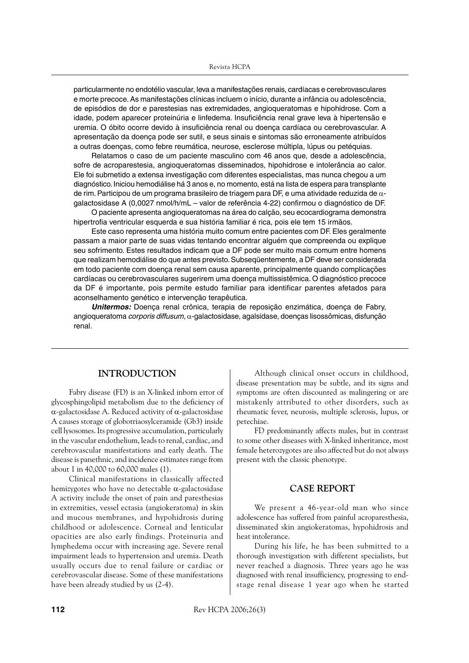particularmente no endotélio vascular, leva a manifestações renais, cardíacas e cerebrovasculares e morte precoce. As manifestações clínicas incluem o início, durante a infância ou adolescência, de episódios de dor e parestesias nas extremidades, angioqueratomas e hipohidrose. Com a idade, podem aparecer proteinúria e linfedema. Insuficiência renal grave leva à hipertensão e uremia. O óbito ocorre devido à insuficiência renal ou doença cardíaca ou cerebrovascular. A apresentação da doença pode ser sutil, e seus sinais e sintomas são erroneamente atribuídos a outras doenças, como febre reumática, neurose, esclerose múltipla, lúpus ou petéquias.

Relatamos o caso de um paciente masculino com 46 anos que, desde a adolescência, sofre de acroparestesia, angioqueratomas disseminados, hipohidrose e intolerância ao calor. Ele foi submetido a extensa investigação com diferentes especialistas, mas nunca chegou a um diagnóstico. Iniciou hemodiálise há 3 anos e, no momento, está na lista de espera para transplante de rim. Participou de um programa brasileiro de triagem para DF, e uma atividade reduzida de  $\alpha$ galactosidase A (0,0027 nmol/h/mL – valor de referência 4-22) confirmou o diagnóstico de DF.

O paciente apresenta angioqueratomas na área do calção, seu ecocardiograma demonstra hipertrofia ventricular esquerda e sua história familiar é rica, pois ele tem 15 irmãos.

Este caso representa uma história muito comum entre pacientes com DF. Eles geralmente passam a maior parte de suas vidas tentando encontrar alguém que compreenda ou explique seu sofrimento. Estes resultados indicam que a DF pode ser muito mais comum entre homens que realizam hemodiálise do que antes previsto. Subseqüentemente, a DF deve ser considerada em todo paciente com doença renal sem causa aparente, principalmente quando complicações cardíacas ou cerebrovasculares sugerirem uma doença multissistêmica. O diagnóstico precoce da DF é importante, pois permite estudo familiar para identificar parentes afetados para aconselhamento genético e intervenção terapêutica.

Unitermos: Doença renal crônica, terapia de reposição enzimática, doença de Fabry, angioqueratoma corporis diffusum, α-galactosidase, agalsidase, doenças lisossômicas, disfunção ronal

## INTRODUCTION

Fabry disease (FD) is an X-linked inborn error of glycosphingolipid metabolism due to the deficiency of α-galactosidase A. Reduced activity of α-galactosidase A causes storage of globotriaosylceramide (Gb3) inside cell lysosomes. Its progressive accumulation, particularly in the vascular endothelium, leads to renal, cardiac, and cerebrovascular manifestations and early death. The disease is panethnic, and incidence estimates range from about 1 in 40,000 to 60,000 males (1).

Clinical manifestations in classically affected hemizygotes who have no detectable α-galactosidase A activity include the onset of pain and paresthesias in extremities, vessel ectasia (angiokeratoma) in skin and mucous membranes, and hypohidrosis during childhood or adolescence. Corneal and lenticular opacities are also early findings. Proteinuria and lymphedema occur with increasing age. Severe renal impairment leads to hypertension and uremia. Death usually occurs due to renal failure or cardiac or cerebrovascular disease. Some of these manifestations have been already studied by us (2-4).

Although clinical onset occurs in childhood, disease presentation may be subtle, and its signs and symptoms are often discounted as malingering or are mistakenly attributed to other disorders, such as rheumatic fever, neurosis, multiple sclerosis, lupus, or petechiae.

FD predominantly affects males, but in contrast to some other diseases with X-linked inheritance, most female heterozygotes are also affected but do not always present with the classic phenotype.

# CASE REPORT

We present a 46-year-old man who since adolescence has suffered from painful acroparesthesia, disseminated skin angiokeratomas, hypohidrosis and heat intolerance.

During his life, he has been submitted to a thorough investigation with different specialists, but never reached a diagnosis. Three years ago he was diagnosed with renal insufficiency, progressing to endstage renal disease 1 year ago when he started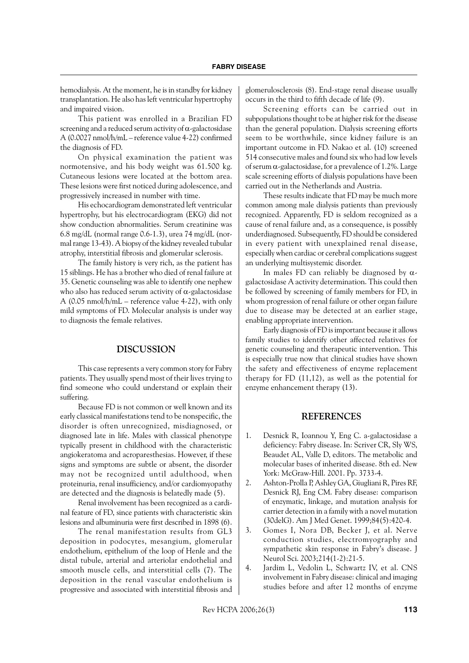hemodialysis. At the moment, he is in standby for kidney transplantation. He also has left ventricular hypertrophy and impaired vision.

This patient was enrolled in a Brazilian FD screening and a reduced serum activity of  $\alpha$ -galactosidase A (0.0027 nmol/h/mL – reference value 4-22) confirmed the diagnosis of FD.

On physical examination the patient was normotensive, and his body weight was 61.500 kg. Cutaneous lesions were located at the bottom area. These lesions were first noticed during adolescence, and progressively increased in number with time.

His echocardiogram demonstrated left ventricular hypertrophy, but his electrocardiogram (EKG) did not show conduction abnormalities. Serum creatinine was 6.8 mg/dL (normal range  $0.6-1.3$ ), urea 74 mg/dL (normal range 13-43). A biopsy of the kidney revealed tubular atrophy, interstitial fibrosis and glomerular sclerosis.

The family history is very rich, as the patient has 15 siblings. He has a brother who died of renal failure at 35. Genetic counseling was able to identify one nephew who also has reduced serum activity of  $\alpha$ -galactosidase A (0.05 nmol/h/mL – reference value 4-22), with only mild symptoms of FD. Molecular analysis is under way to diagnosis the female relatives.

#### DISCUSSION

This case represents a very common story for Fabry patients. They usually spend most of their lives trying to find someone who could understand or explain their suffering.

Because FD is not common or well known and its early classical manifestations tend to be nonspecific, the disorder is often unrecognized, misdiagnosed, or diagnosed late in life. Males with classical phenotype typically present in childhood with the characteristic angiokeratoma and acroparesthesias. However, if these signs and symptoms are subtle or absent, the disorder may not be recognized until adulthood, when proteinuria, renal insufficiency, and/or cardiomyopathy are detected and the diagnosis is belatedly made (5).

Renal involvement has been recognized as a cardinal feature of FD, since patients with characteristic skin lesions and albuminuria were first described in 1898 (6).

The renal manifestation results from GL3 deposition in podocytes, mesangium, glomerular endothelium, epithelium of the loop of Henle and the distal tubule, arterial and arteriolar endothelial and smooth muscle cells, and interstitial cells (7). The deposition in the renal vascular endothelium is progressive and associated with interstitial fibrosis and glomerulosclerosis (8). End-stage renal disease usually occurs in the third to fifth decade of life (9).

Screening efforts can be carried out in subpopulations thought to be at higher risk for the disease than the general population. Dialysis screening efforts seem to be worthwhile, since kidney failure is an important outcome in FD. Nakao et al. (10) screened 514 consecutive males and found six who had low levels of serum  $\alpha$ -galactosidase, for a prevalence of 1.2%. Large scale screening efforts of dialysis populations have been carried out in the Netherlands and Austria.

These results indicate that FD may be much more common among male dialysis patients than previously recognized. Apparently, FD is seldom recognized as a cause of renal failure and, as a consequence, is possibly underdiagnosed. Subsequently, FD should be considered in every patient with unexplained renal disease, especially when cardiac or cerebral complications suggest an underlying multisystemic disorder.

In males FD can reliably be diagnosed by  $\alpha$ galactosidase A activity determination. This could then be followed by screening of family members for FD, in whom progression of renal failure or other organ failure due to disease may be detected at an earlier stage, enabling appropriate intervention.

Early diagnosis of FD is important because it allows family studies to identify other affected relatives for genetic counseling and therapeutic intervention. This is especially true now that clinical studies have shown the safety and effectiveness of enzyme replacement therapy for FD (11,12), as well as the potential for enzyme enhancement therapy (13).

## REFERENCES

- 1. Desnick R, Ioannou Y, Eng C. a-galactosidase a deficiency: Fabry disease. In: Scriver CR, Sly WS, Beaudet AL, Valle D, editors. The metabolic and molecular bases of inherited disease. 8th ed. New York: McGraw-Hill. 2001. Pp. 3733-4.
- 2. Ashton-Prolla P, Ashley GA, Giugliani R, Pires RF, Desnick RJ, Eng CM. Fabry disease: comparison of enzymatic, linkage, and mutation analysis for carrier detection in a family with a novel mutation (30delG). Am J Med Genet. 1999;84(5):420-4.
- 3. Gomes I, Nora DB, Becker J, et al. Nerve conduction studies, electromyography and sympathetic skin response in Fabry's disease. J Neurol Sci. 2003;214(1-2):21-5.
- 4. Jardim L, Vedolin L, Schwartz IV, et al. CNS involvement in Fabry disease: clinical and imaging studies before and after 12 months of enzyme